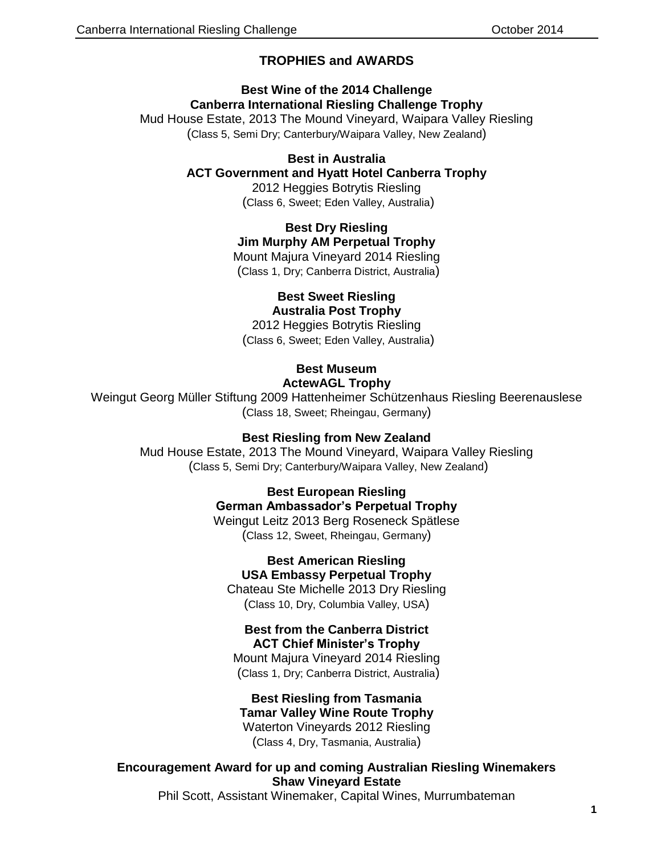# **TROPHIES and AWARDS**

# **Best Wine of the 2014 Challenge Canberra International Riesling Challenge Trophy**

Mud House Estate, 2013 The Mound Vineyard, Waipara Valley Riesling (Class 5, Semi Dry; Canterbury/Waipara Valley, New Zealand)

### **Best in Australia**

### **ACT Government and Hyatt Hotel Canberra Trophy**

2012 Heggies Botrytis Riesling (Class 6, Sweet; Eden Valley, Australia)

## **Best Dry Riesling**

**Jim Murphy AM Perpetual Trophy**

Mount Majura Vineyard 2014 Riesling (Class 1, Dry; Canberra District, Australia)

#### **Best Sweet Riesling Australia Post Trophy**

2012 Heggies Botrytis Riesling (Class 6, Sweet; Eden Valley, Australia)

### **Best Museum ActewAGL Trophy**

Weingut Georg Müller Stiftung 2009 Hattenheimer Schützenhaus Riesling Beerenauslese (Class 18, Sweet; Rheingau, Germany)

## **Best Riesling from New Zealand**

Mud House Estate, 2013 The Mound Vineyard, Waipara Valley Riesling (Class 5, Semi Dry; Canterbury/Waipara Valley, New Zealand)

# **Best European Riesling**

**German Ambassador's Perpetual Trophy** Weingut Leitz 2013 Berg Roseneck Spätlese (Class 12, Sweet, Rheingau, Germany)

> **Best American Riesling USA Embassy Perpetual Trophy**

Chateau Ste Michelle 2013 Dry Riesling (Class 10, Dry, Columbia Valley, USA)

#### **Best from the Canberra District ACT Chief Minister's Trophy**

Mount Majura Vineyard 2014 Riesling (Class 1, Dry; Canberra District, Australia)

#### **Best Riesling from Tasmania Tamar Valley Wine Route Trophy**

Waterton Vineyards 2012 Riesling (Class 4, Dry, Tasmania, Australia)

**Encouragement Award for up and coming Australian Riesling Winemakers Shaw Vineyard Estate** 

Phil Scott, Assistant Winemaker, Capital Wines, Murrumbateman